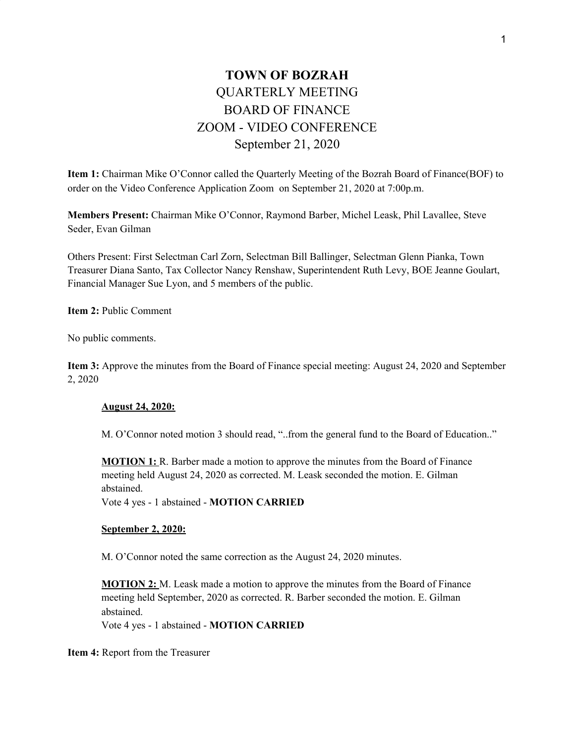# **TOWN OF BOZRAH** QUARTERLY MEETING BOARD OF FINANCE ZOOM - VIDEO CONFERENCE September 21, 2020

**Item 1:** Chairman Mike O'Connor called the Quarterly Meeting of the Bozrah Board of Finance(BOF) to order on the Video Conference Application Zoom on September 21, 2020 at 7:00p.m.

**Members Present:** Chairman Mike O'Connor, Raymond Barber, Michel Leask, Phil Lavallee, Steve Seder, Evan Gilman

Others Present: First Selectman Carl Zorn, Selectman Bill Ballinger, Selectman Glenn Pianka, Town Treasurer Diana Santo, Tax Collector Nancy Renshaw, Superintendent Ruth Levy, BOE Jeanne Goulart, Financial Manager Sue Lyon, and 5 members of the public.

**Item 2:** Public Comment

No public comments.

**Item 3:** Approve the minutes from the Board of Finance special meeting: August 24, 2020 and September 2, 2020

#### **August 24, 2020:**

M. O'Connor noted motion 3 should read, "..from the general fund to the Board of Education.."

**MOTION 1:** R. Barber made a motion to approve the minutes from the Board of Finance meeting held August 24, 2020 as corrected. M. Leask seconded the motion. E. Gilman abstained.

Vote 4 yes - 1 abstained - **MOTION CARRIED**

#### **September 2, 2020:**

M. O'Connor noted the same correction as the August 24, 2020 minutes.

**MOTION 2:** M. Leask made a motion to approve the minutes from the Board of Finance meeting held September, 2020 as corrected. R. Barber seconded the motion. E. Gilman abstained.

Vote 4 yes - 1 abstained - **MOTION CARRIED**

**Item 4:** Report from the Treasurer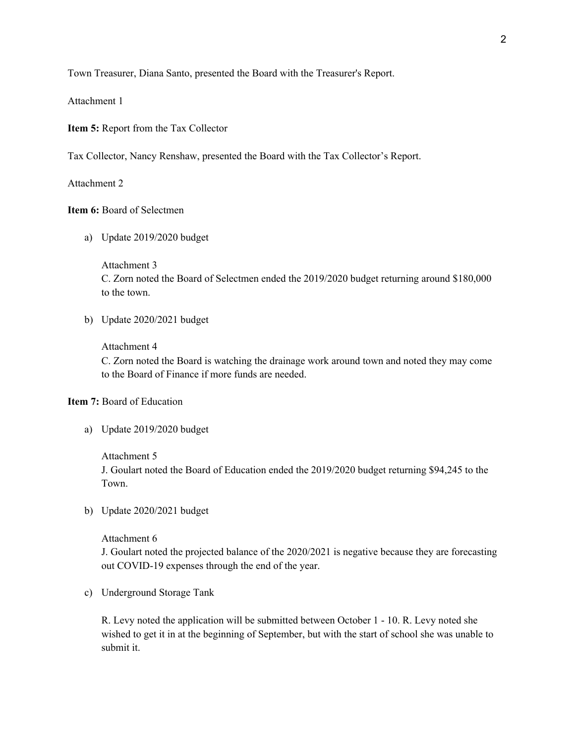Town Treasurer, Diana Santo, presented the Board with the Treasurer's Report.

Attachment 1

**Item 5:** Report from the Tax Collector

Tax Collector, Nancy Renshaw, presented the Board with the Tax Collector's Report.

Attachment 2

## **Item 6:** Board of Selectmen

a) Update 2019/2020 budget

Attachment 3 C. Zorn noted the Board of Selectmen ended the 2019/2020 budget returning around \$180,000 to the town.

b) Update 2020/2021 budget

## Attachment 4

C. Zorn noted the Board is watching the drainage work around town and noted they may come to the Board of Finance if more funds are needed.

### **Item 7:** Board of Education

a) Update 2019/2020 budget

Attachment 5

J. Goulart noted the Board of Education ended the 2019/2020 budget returning \$94,245 to the Town.

b) Update 2020/2021 budget

#### Attachment 6

J. Goulart noted the projected balance of the 2020/2021 is negative because they are forecasting out COVID-19 expenses through the end of the year.

c) Underground Storage Tank

R. Levy noted the application will be submitted between October 1 - 10. R. Levy noted she wished to get it in at the beginning of September, but with the start of school she was unable to submit it.